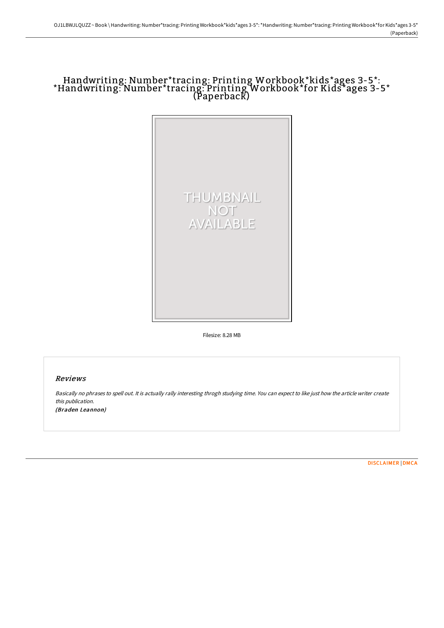# Handwriting: Number\*tracing: Printing Workbook\*kids\*ages 3-5\*: \*Handwriting: Number\*tracing: Printing Workbook\*for Kids\*ages 3-5\* (Paperback)



Filesize: 8.28 MB

### Reviews

Basically no phrases to spell out. It is actually rally interesting throgh studying time. You can expect to like just how the article writer create this publication.

(Braden Leannon)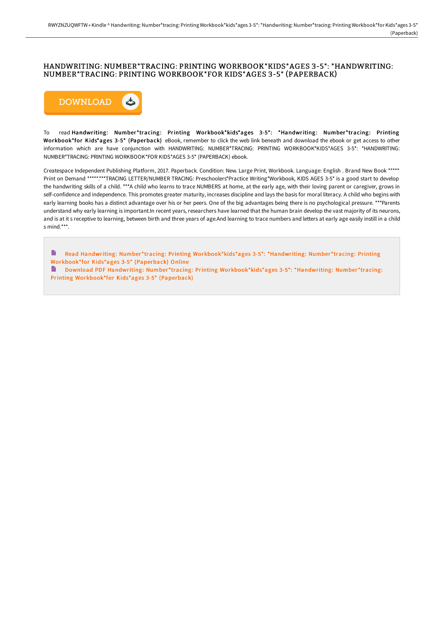#### HANDWRITING: NUMBER\*TRACING: PRINTING WORKBOOK\*KIDS\*AGES 3-5\*: \*HANDWRITING: NUMBER\*TRACING: PRINTING WORKBOOK\*FOR KIDS\*AGES 3-5\* (PAPERBACK)



To read Handwriting: Number \*tracing: Printing Workbook\*kids\*ages 3-5\*: \*Handwriting: Number \*tracing: Printing Workbook\*for Kids\*ages 3-5\* (Paperback) eBook, remember to click the web link beneath and download the ebook or get access to other information which are have conjunction with HANDWRITING: NUMBER\*TRACING: PRINTING WORKBOOK\*KIDS\*AGES 3-5\*: \*HANDWRITING: NUMBER\*TRACING: PRINTING WORKBOOK\*FOR KIDS\*AGES 3-5\* (PAPERBACK) ebook.

Createspace Independent Publishing Platform, 2017. Paperback. Condition: New. Large Print, Workbook. Language: English . Brand New Book \*\*\*\*\* Print on Demand \*\*\*\*\*\*\*\*TRACING LETTER/NUMBER TRACING: Preschoolers\*Practice Writing\*Workbook, KIDS AGES 3-5\* is a good start to develop the handwriting skills of a child. \*\*\*A child who learns to trace NUMBERS at home, at the early age, with their loving parent or caregiver, grows in self-confidence and independence. This promotes greater maturity, increases discipline and lays the basis for moral literacy. A child who begins with early learning books has a distinct advantage over his or her peers. One of the big advantages being there is no psychological pressure. \*\*\*Parents understand why early learning is important.In recent years, researchers have learned that the human brain develop the vast majority of its neurons, and is at it s receptive to learning, between birth and three years of age.And learning to trace numbers and letters at early age easily instill in a child s mind.\*\*\*.

Read Handwriting: Number \*tracing: Printing [Workbook\\*kids\\*ages](http://www.bookdirs.com/handwriting-number-tracing-printing-workbook-kid-2.html) 3-5\*: \*Handwriting: Number \*tracing: Printing Workbook\*for Kids\*ages 3-5\* (Paperback) Online

Download PDF Handwriting: Number \*tracing: Printing [Workbook\\*kids\\*ages](http://www.bookdirs.com/handwriting-number-tracing-printing-workbook-kid-2.html) 3-5\*: \*Handwriting: Number \*tracing: Printing Workbook\*for Kids\*ages 3-5\* (Paperback)